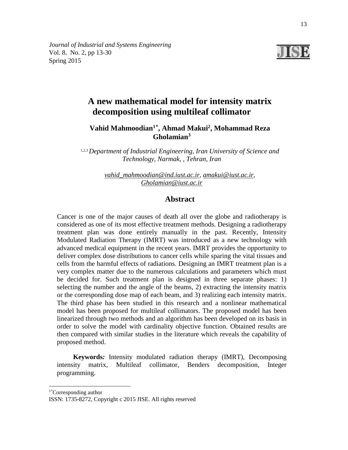*Journal of Industrial and Systems Engineering* Vol. 8, No. 2, pp 13-30 Spring 2015



# **A new mathematical model for intensity matrix decomposition using multileaf collimator**

**Vahid Mahmoodian1[\\*](#page-0-0) , Ahmad Makui2 , Mohammad Reza Gholamian3**

1,2,3*Department of Industrial Engineering, Iran University of Science and Technology, Narmak, , Tehran, Iran* 

> *[vahid\\_mahmoodian@ind.iust.ac.ir,](mailto:vahid_mahmoodian@ind.iust.ac.ir) [amakui@iust.ac.ir,](mailto:amakui@iust.ac.ir) [Gholamian@iust.ac.ir](mailto:Gholamian@iust.ac.ir)*

# **Abstract**

Cancer is one of the major causes of death all over the globe and radiotherapy is considered as one of its most effective treatment methods. Designing a radiotherapy treatment plan was done entirely manually in the past. Recently, Intensity Modulated Radiation Therapy (IMRT) was introduced as a new technology with advanced medical equipment in the recent years. IMRT provides the opportunity to deliver complex dose distributions to cancer cells while sparing the vital tissues and cells from the harmful effects of radiations. Designing an IMRT treatment plan is a very complex matter due to the numerous calculations and parameters which must be decided for. Such treatment plan is designed in three separate phases: 1) selecting the number and the angle of the beams, 2) extracting the intensity matrix or the corresponding dose map of each beam, and 3) realizing each intensity matrix. The third phase has been studied in this research and a nonlinear mathematical model has been proposed for multileaf collimators. The proposed model has been linearized through two methods and an algorithm has been developed on its basis in order to solve the model with cardinality objective function. Obtained results are then compared with similar studies in the literature which reveals the capability of proposed method.

**Keywords***:* Intensity modulated radiation therapy (IMRT), Decomposing intensity matrix, Multileaf collimator, Benders decomposition, Integer programming.

1\* Corresponding author

-

<span id="page-0-0"></span>ISSN: 1735-8272, Copyright c 2015 JISE. All rights reserved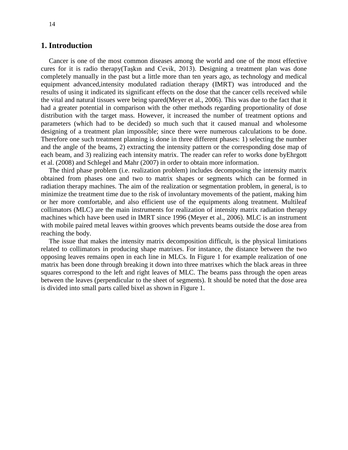## **1. Introduction**

Cancer is one of the most common diseases among the world and one of the most effective cures for it is radio therapy([Taşkın and Cevik, 2013](#page-17-0)). Designing a treatment plan was done completely manually in the past but a little more than ten years ago, as technology and medical equipment advanced,intensity modulated radiation therapy (IMRT) was introduced and the results of using it indicated its significant effects on the dose that the cancer cells received while the vital and natural tissues were being spared[\(Meyer et al., 2006\)](#page-17-1). This was due to the fact that it had a greater potential in comparison with the other methods regarding proportionality of dose distribution with the target mass. However, it increased the number of treatment options and parameters (which had to be decided) so much such that it caused manual and wholesome designing of a treatment plan impossible; since there were numerous calculations to be done. Therefore one such treatment planning is done in three different phases: 1) selecting the number and the angle of the beams, 2) extracting the intensity pattern or the corresponding dose map of each beam, and 3) realizing each intensity matrix. The reader can refer to works done b[yEhrgott](#page-17-2)  [et al. \(2008\)](#page-17-2) and [Schlegel and Mahr](#page-17-3) (2007) in order to obtain more information.

The third phase problem (i.e. realization problem) includes decomposing the intensity matrix obtained from phases one and two to matrix shapes or segments which can be formed in radiation therapy machines. The aim of the realization or segmentation problem, in general, is to minimize the treatment time due to the risk of involuntary movements of the patient, making him or her more comfortable, and also efficient use of the equipments along treatment. Multileaf collimators (MLC) are the main instruments for realization of intensity matrix radiation therapy machines which have been used in IMRT since 1996 [\(Meyer et al., 2006\)](#page-17-1). MLC is an instrument with mobile paired metal leaves within grooves which prevents beams outside the dose area from reaching the body.

The issue that makes the intensity matrix decomposition difficult, is the physical limitations related to collimators in producing shape matrixes. For instance, the distance between the two opposing leaves remains open in each line in MLCs. In Figure 1 for example realization of one matrix has been done through breaking it down into three matrixes which the black areas in three squares correspond to the left and right leaves of MLC. The beams pass through the open areas between the leaves (perpendicular to the sheet of segments). It should be noted that the dose area is divided into small parts called bixel as shown in Figure 1.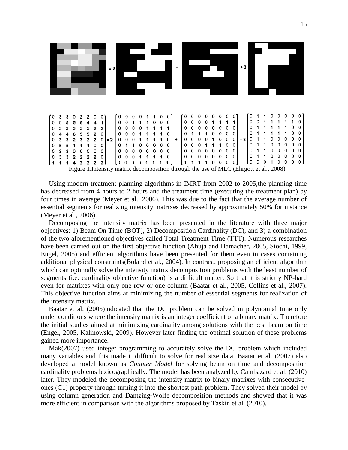

Using modern treatment planning algorithms in IMRT from 2002 to 2005,the planning time has decreased from 4 hours to 2 hours and the treatment time (executing the treatment plan) by four times in average [\(Meyer et al., 2006\)](#page-17-1). This was due to the fact that the average number of essential segments for realizing intensity matrixes decreased by approximately 50% for instance [\(Meyer et al., 2006\)](#page-17-1).

Decomposing the intensity matrix has been presented in the literature with three major objectives: 1) Beam On Time (BOT), 2) Decomposition Cardinality (DC), and 3) a combination of the two aforementioned objectives called Total Treatment Time (TTT). Numerous researches have been carried out on the first objective function [\(Ahuja and Hamacher, 2005,](#page-16-0) [Siochi, 1999,](#page-17-4) [Engel, 2005\)](#page-17-5) and efficient algorithms have been presented for them even in cases containing additional physical constraints[\(Boland et al., 2004\)](#page-16-1). In contrast, proposing an efficient algorithm which can optimally solve the intensity matrix decomposition problems with the least number of segments (i.e. cardinality objective function) is a difficult matter. So that it is strictly NP-hard even for matrixes with only one row or one column [\(Baatar et al., 2005,](#page-16-2) [Collins et al., 2007\)](#page-16-3). This objective function aims at minimizing the number of essential segments for realization of the intensity matrix.

Baatar et al. [\(2005\)](#page-16-2)indicated that the DC problem can be solved in polynomial time only under conditions where the intensity matrix is an integer coefficient of a binary matrix. Therefore the initial studies aimed at minimizing cardinality among solutions with the best beam on time [\(Engel, 2005,](#page-17-5) [Kalinowski, 2009\)](#page-17-6). However later finding the optimal solution of these problems gained more importance.

Ma[k\(2007\)](#page-17-7) used integer programming to accurately solve the DC problem which included many variables and this made it difficult to solve for real size data. Baatar et al. [\(2007\)](#page-16-4) also developed a model known as *Counter Model* for solving beam on time and decomposition cardinality problems lexicographically. The model has been analyzed by Cambazard et al. [\(2010\)](#page-16-5) later. They modeled the decomposing the intensity matrix to binary matrixes with consecutiveones (C1) property through turning it into the shortest path problem. They solved their model by using column generation and Dantzing-Wolfe decomposition methods and showed that it was more efficient in comparison with the algorithms proposed by Taskin et al. [\(2010\)](#page-17-8).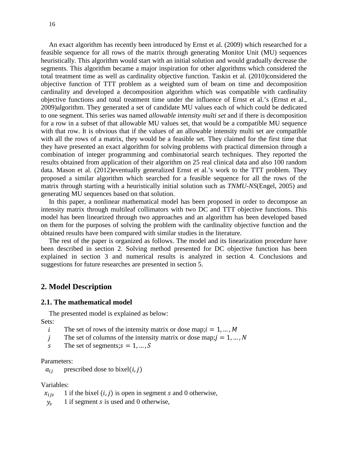An exact algorithm has recently been introduced by Ernst et al. [\(2009\)](#page-17-9) which researched for a feasible sequence for all rows of the matrix through generating Monitor Unit (MU) sequences heuristically. This algorithm would start with an initial solution and would gradually decrease the segments. This algorithm became a major inspiration for other algorithms which considered the total treatment time as well as cardinality objective function. Taskin et al. [\(2010\)](#page-17-8)considered the objective function of TTT problem as a weighted sum of beam on time and decomposition cardinality and developed a decomposition algorithm which was compatible with cardinality objective functions and total treatment time under the influence of Ernst et al.'s [\(Ernst et al.,](#page-17-9)  [2009\)](#page-17-9)algorithm. They generated a set of candidate MU values each of which could be dedicated to one segment. This series was named *allowable intensity multi set* and if there is decomposition for a row in a subset of that allowable MU values set, that would be a compatible MU sequence with that row. It is obvious that if the values of an allowable intensity multi set are compatible with all the rows of a matrix, they would be a feasible set. They claimed for the first time that they have presented an exact algorithm for solving problems with practical dimension through a combination of integer programming and combinatorial search techniques. They reported the results obtained from application of their algorithm on 25 real clinical data and also 100 random data. Mason et al. [\(2012\)](#page-17-10)eventually generalized Ernst et al.'s work to the TTT problem. They proposed a similar algorithm which searched for a feasible sequence for all the rows of the matrix through starting with a heuristically initial solution such as *TNMU-NS*[\(Engel, 2005\)](#page-17-5) and generating MU sequences based on that solution.

In this paper, a nonlinear mathematical model has been proposed in order to decompose an intensity matrix through multileaf collimators with two DC and TTT objective functions. This model has been linearized through two approaches and an algorithm has been developed based on them for the purposes of solving the problem with the cardinality objective function and the obtained results have been compared with similar studies in the literature.

The rest of the paper is organized as follows. The model and its linearization procedure have been described in section 2. Solving method presented for DC objective function has been explained in section 3 and numerical results is analyzed in section 4. Conclusions and suggestions for future researches are presented in section 5.

## **2. Model Description**

#### **2.1. The mathematical model**

The presented model is explained as below: Sets:

- i The set of rows of the intensity matrix or dose map;  $i = 1, ..., M$
- j The set of columns of the intensity matrix or dose map;  $j = 1, ..., N$
- s The set of segments;  $s = 1, ..., S$

Parameters:

 $a_{ij}$  prescribed dose to bixel(*i*, *j*)

Variables:

- $x_{ijs}$  1 if the bixel  $(i, j)$  is open in segment *s* and 0 otherwise,
- $y_s$  1 if segment *s* is used and 0 otherwise,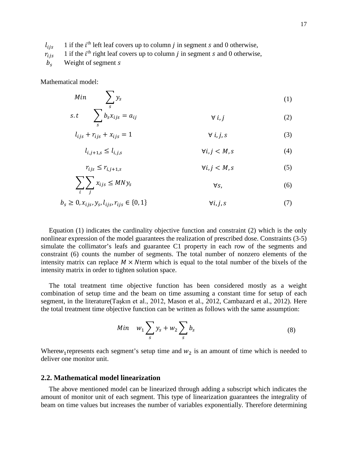$l_{ijs}$  1 if the  $i<sup>th</sup>$  left leaf covers up to column *j* in segment *s* and 0 otherwise,

 $r_{ijs}$  1 if the *i*<sup>th</sup> right leaf covers up to column *j* in segment *s* and 0 otherwise,

 $b_s$  Weight of segment s

Mathematical model:

$$
Min \sum_{s} y_s \tag{1}
$$

$$
s.t \qquad \sum_{s} b_{s} x_{ijs} = a_{ij} \qquad \qquad \forall i,j \tag{2}
$$

$$
l_{ijs} + r_{ijs} + x_{ijs} = 1 \qquad \qquad \forall i, j, s \tag{3}
$$

$$
l_{i,j+1,s} \le l_{i,j,s} \qquad \forall i,j < M,s \tag{4}
$$

$$
r_{ijs} \le r_{i,j+1,s} \qquad \qquad \forall i,j < M,s \tag{5}
$$

$$
\sum_{i} \sum_{j} x_{ijs} \le MNy_s \qquad \qquad \forall s,
$$
\n<sup>(6)</sup>

$$
b_s \geq 0, x_{ijs}, y_s, l_{ijs}, r_{ijs} \in \{0, 1\} \qquad \forall i, j, s \tag{7}
$$

Equation (1) indicates the cardinality objective function and constraint (2) which is the only nonlinear expression of the model guarantees the realization of prescribed dose. Constraints (3-5) simulate the collimator's leafs and guarantee C1 property in each row of the segments and constraint (6) counts the number of segments. The total number of nonzero elements of the intensity matrix can replace  $M \times N$  term which is equal to the total number of the bixels of the intensity matrix in order to tighten solution space.

The total treatment time objective function has been considered mostly as a weight combination of setup time and the beam on time assuming a constant time for setup of each segment, in the literatur[e\(](#page-17-11)[Taşkın et al., 2012](#page-17-11), [Mason et al., 2012,](#page-17-10) [Cambazard et al., 2012\)](#page-16-6). Here the total treatment time objective function can be written as follows with the same assumption:

$$
Min \t w_1 \sum_{s} y_s + w_2 \sum_{s} b_s \t\t(8)
$$

Where $w_1$  represents each segment's setup time and  $w_2$  is an amount of time which is needed to deliver one monitor unit.

#### **2.2. Mathematical model linearization**

The above mentioned model can be linearized through adding a subscript which indicates the amount of monitor unit of each segment. This type of linearization guarantees the integrality of beam on time values but increases the number of variables exponentially. Therefore determining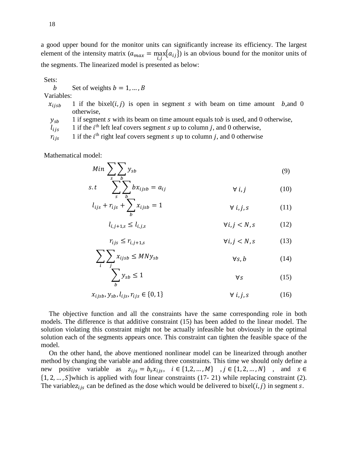a good upper bound for the monitor units can significantly increase its efficiency. The largest element of the intensity matrix  $(a_{max} = \max_{i,j} \{a_{ij}\})$  is an obvious bound for the monitor units of the segments. The linearized model is presented as below:

Sets:

b Set of weights  $b = 1, ..., B$ 

Variables:

 $x_{i,j}$  1 if the bixel(*i, j*) is open in segment *s* with beam on time amount *b*, and 0 otherwise,

 $y_{sb}$  1 if segment *s* with its beam on time amount equals to *b* is used, and 0 otherwise,

 $l_{ijs}$  1 if the  $i<sup>th</sup>$  left leaf covers segment *s* up to column *j*, and 0 otherwise,

 $r_{ijs}$  1 if the *i*<sup>th</sup> right leaf covers segment *s* up to column *j*, and 0 otherwise

Mathematical model:

$$
Min \sum_{s} \sum_{b} y_{sb} \tag{9}
$$

$$
s.t \quad \sum_{s} \sum_{b} bx_{ijsb} = a_{ij} \qquad \forall i, j \qquad (10)
$$

$$
l_{ijs} + r_{ijs} + \sum_{b} x_{ijsb} = 1 \qquad \qquad \forall i, j, s \qquad (11)
$$

$$
l_{i,j+1,s} \le l_{i,j,s} \qquad \forall i,j < N, s \tag{12}
$$

$$
r_{ijs} \le r_{i,j+1,s} \qquad \qquad \forall i,j < N, s \qquad (13)
$$

$$
\sum_{i} \sum_{j} x_{ijsb} \leq MNy_{sb} \qquad \forall s, b \tag{14}
$$

$$
\sum_{b} y_{sb} \le 1 \tag{15}
$$

$$
x_{ijsb}, y_{sb}, l_{ijs}, r_{ijs} \in \{0, 1\} \qquad \forall i, j, s \qquad (16)
$$

The objective function and all the constraints have the same corresponding role in both models. The difference is that additive constraint (15) has been added to the linear model. The solution violating this constraint might not be actually infeasible but obviously in the optimal solution each of the segments appears once. This constraint can tighten the feasible space of the model.

On the other hand, the above mentioned nonlinear model can be linearized through another method by changing the variable and adding three constraints. This time we should only define a new positive variable as  $z_{ijs} = b_s x_{ijs}$ ,  $i \in \{1, 2, ..., M\}$ ,  $j \in \{1, 2, ..., N\}$ , and  $s \in$  $\{1, 2, \ldots, S\}$  which is applied with four linear constraints (17- 21) while replacing constraint (2). The variablez<sub>iis</sub> can be defined as the dose which would be delivered to bixel(*i*, *j*) in segment *s*.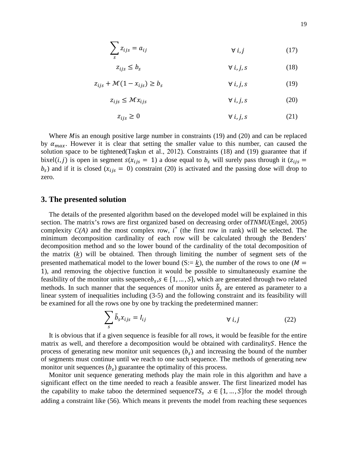$$
\sum_{s} z_{ijs} = a_{ij} \qquad \qquad \forall i, j \tag{17}
$$

∀ ,, (18) ≤

$$
z_{ijs} + \mathcal{M}(1 - x_{ijs}) \ge b_s \qquad \qquad \forall i, j, s \tag{19}
$$

$$
z_{ijs} \leq \mathcal{M}x_{ijs} \qquad \qquad \forall i,j,s \tag{20}
$$

$$
z_{ijs} \ge 0 \qquad \qquad \forall i,j,s \tag{21}
$$

Where  $M$  is an enough positive large number in constraints (19) and (20) and can be replaced by  $\alpha_{max}$ . However it is clear that setting the smaller value to this number, can caused the solution space to be tightened([Taşkın et al., 2012](#page-17-11)). Constraints (18) and (19) guarantee that if bixel(*i*, *j*) is open in segment  $s(x_{ijs} = 1)$  a dose equal to  $b_s$  will surely pass through it ( $z_{ijs}$ )  $b_s$ ) and if it is closed ( $x_{ijs} = 0$ ) constraint (20) is activated and the passing dose will drop to zero.

### **3. The presented solution**

The details of the presented algorithm based on the developed model will be explained in this section. The matrix's rows are first organized based on decreasing order of*TNMU*[\(Engel, 2005\)](#page-17-5) complexity  $C(A)$  and the most complex row,  $i^*$  (the first row in rank) will be selected. The minimum decomposition cardinality of each row will be calculated through the Benders' decomposition method and so the lower bound of the cardinality of the total decomposition of the matrix  $(k)$  will be obtained. Then through limiting the number of segment sets of the presented mathematical model to the lower bound (S:= k), the number of the rows to one ( $M =$ 1), and removing the objective function it would be possible to simultaneously examine the feasibility of the monitor units sequence  $b_s$ ,  $s \in \{1, ..., S\}$ , which are generated through two related methods. In such manner that the sequences of monitor units  $\tilde{b}_s$  are entered as parameter to a linear system of inequalities including (3-5) and the following constraint and its feasibility will be examined for all the rows one by one by tracking the predetermined manner:

$$
\sum_{s} \tilde{b}_{s} x_{ijs} = I_{ij} \qquad \qquad \forall i, j \qquad (22)
$$

It is obvious that if a given sequence is feasible for all rows, it would be feasible for the entire matrix as well, and therefore a decomposition would be obtained with cardinality. Hence the process of generating new monitor unit sequences  $(b<sub>s</sub>)$  and increasing the bound of the number of segments must continue until we reach to one such sequence. The methods of generating new monitor unit sequences  $(b_s)$  guarantee the optimality of this process.

Monitor unit sequence generating methods play the main role in this algorithm and have a significant effect on the time needed to reach a feasible answer. The first linearized model has the capability to make taboo the determined sequence  $TS_s$   $s \in \{1, ..., S\}$  for the model through adding a constraint like (56). Which means it prevents the model from reaching these sequences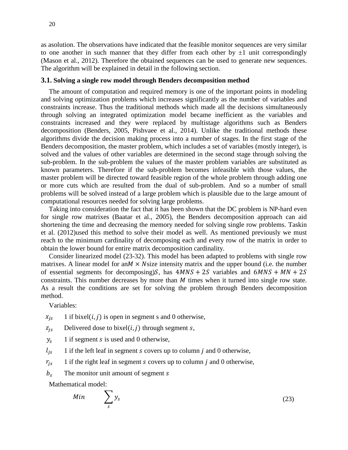20

as asolution. The observations have indicated that the feasible monitor sequences are very similar to one another in such manner that they differ from each other by  $\pm 1$  unit correspondingly [\(Mason et al., 2012\)](#page-17-10). Therefore the obtained sequences can be used to generate new sequences. The algorithm will be explained in detail in the following section.

## **3.1. Solving a single row model through Benders decomposition method**

The amount of computation and required memory is one of the important points in modeling and solving optimization problems which increases significantly as the number of variables and constraints increase. Thus the traditional methods which made all the decisions simultaneously through solving an integrated optimization model became inefficient as the variables and constraints increased and they were replaced by multistage algorithms such as Benders decomposition [\(Benders, 2005,](#page-16-7) [Pishvaee et al., 2014\)](#page-17-12). Unlike the traditional methods these algorithms divide the decision making process into a number of stages. In the first stage of the Benders decomposition, the master problem, which includes a set of variables (mostly integer), is solved and the values of other variables are determined in the second stage through solving the sub-problem. In the sub-problem the values of the master problem variables are substituted as known parameters. Therefore if the sub-problem becomes infeasible with those values, the master problem will be directed toward feasible region of the whole problem through adding one or more cuts which are resulted from the dual of sub-problem. And so a number of small problems will be solved instead of a large problem which is plausible due to the large amount of computational resources needed for solving large problems.

Taking into consideration the fact that it has been shown that the DC problem is NP-hard even for single row matrixes [\(Baatar et al., 2005\)](#page-16-2), the Benders decomposition approach can aid shortening the time and decreasing the memory needed for solving single row problems. Taskin et al. [\(2012\)](#page-17-11)used this method to solve their model as well. As mentioned previously we must reach to the minimum cardinality of decomposing each and every row of the matrix in order to obtain the lower bound for entire matrix decomposition cardinality.

Consider linearized model (23-32). This model has been adapted to problems with single row matrixes. A linear model for an  $M \times N$  size intensity matrix and the upper bound (i.e. the number of essential segments for decomposing) $S$ , has  $4MNS + 2S$  variables and  $6MNS + MN + 2S$ constraints. This number decreases by more than  $M$  times when it turned into single row state. As a result the conditions are set for solving the problem through Benders decomposition method.

Variables:

 $x_{is}$  1 if bixel(*i*, *j*) is open in segment s and 0 otherwise,

- $z_{is}$  Delivered dose to bixel(*i*, *j*) through segment *s*,
- $y_s$  1 if segment *s* is used and 0 otherwise,
- $l_{is}$  1 if the left leaf in segment *s* covers up to column *j* and 0 otherwise,
- $r_{is}$  1 if the right leaf in segment *s* covers up to column *j* and 0 otherwise,
- $b<sub>s</sub>$  The monitor unit amount of segment s

Mathematical model:

$$
Min \qquad \sum_{s} y_s \tag{23}
$$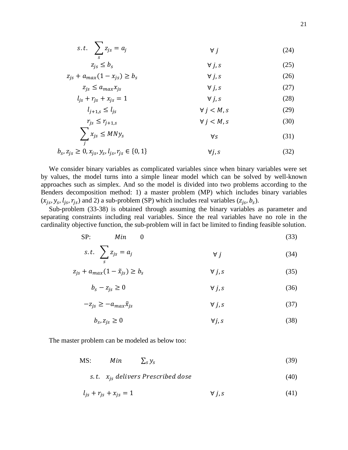$$
s.t. \sum_{s} z_{js} = a_j \qquad \qquad \forall j \qquad (24)
$$

$$
z_{js} \le b_s \qquad \qquad \forall j, s \tag{25}
$$

$$
z_{js} + a_{max}(1 - x_{js}) \ge b_s \qquad \qquad \forall j, s \tag{26}
$$

$$
z_{js} \le a_{max} x_{js} \qquad \qquad \forall j, s \tag{27}
$$

$$
l_{js} + r_{js} + x_{js} = 1 \qquad \qquad \forall j, s \qquad (28)
$$

$$
l_{j+1,s} \le l_{js} \qquad \qquad \forall j < M, s \tag{29}
$$

$$
r_{js} \le r_{j+1,s} \qquad \qquad \forall j < M, s \tag{30}
$$

$$
\sum_{j} x_{js} \leq MNy_s \tag{31}
$$

$$
b_s, z_{js} \ge 0, x_{js}, y_s, l_{js}, r_{js} \in \{0, 1\} \qquad \forall j, s \qquad (32)
$$

We consider binary variables as complicated variables since when binary variables were set by values, the model turns into a simple linear model which can be solved by well-known approaches such as simplex. And so the model is divided into two problems according to the Benders decomposition method: 1) a master problem (MP) which includes binary variables  $(x_{is}, y_s, l_{is}, r_{is})$  and 2) a sub-problem (SP) which includes real variables  $(z_{is}, b_s)$ .

Sub-problem (33-38) is obtained through assuming the binary variables as parameter and separating constraints including real variables. Since the real variables have no role in the cardinality objective function, the sub-problem will in fact be limited to finding feasible solution.

$$
\text{SP:} \quad Min \quad 0 \tag{33}
$$

$$
s.t. \sum_{s} z_{js} = a_j \qquad \qquad \forall j \qquad (34)
$$

$$
z_{js} + a_{max}(1 - \tilde{x}_{js}) \ge b_s \qquad \qquad \forall j, s \tag{35}
$$

$$
b_s - z_{js} \ge 0 \qquad \qquad \forall j, s \tag{36}
$$

$$
-z_{js} \ge -a_{max}\tilde{x}_{js} \qquad \qquad \forall j, s \qquad (37)
$$

$$
b_s, z_{js} \ge 0 \t\t \forall j, s \t\t (38)
$$

The master problem can be modeled as below too:

MS:  $Min \quad \sum_{s} y_s$  (39)

$$
s.t. \quad x_{js} \; delivers \; Prescribed \; dose \tag{40}
$$

$$
l_{js} + r_{js} + x_{js} = 1 \qquad \qquad \forall j, s \tag{41}
$$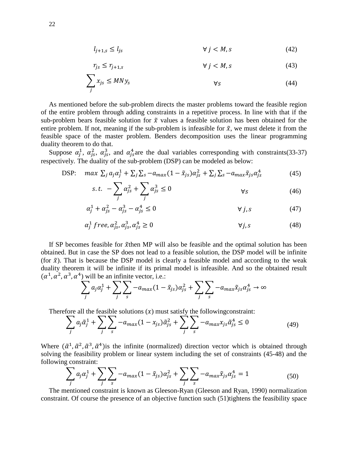$$
l_{j+1,s} \le l_{js} \qquad \qquad \forall \ j < M, s \tag{42}
$$

$$
r_{js} \le r_{j+1,s} \qquad \qquad \forall j < M, s \tag{43}
$$

$$
\sum_{j} x_{js} \le MNy_{s} \qquad \qquad \forall s \tag{44}
$$

As mentioned before the sub-problem directs the master problems toward the feasible region of the entire problem through adding constraints in a repetitive process. In line with that if the sub-problem bears feasible solution for  $\tilde{x}$  values a feasible solution has been obtained for the entire problem. If not, meaning if the sub-problem is infeasible for  $\tilde{x}$ , we must delete it from the feasible space of the master problem. Benders decomposition uses the linear programming duality theorem to do that.

Suppose  $\alpha_j^1$ ,  $\alpha_{js}^2$ ,  $\alpha_{js}^3$ , and  $\alpha_{js}^4$  are the dual variables corresponding with constraints(33-37) respectively. The duality of the sub-problem (DSP) can be modeled as below:

DSP: 
$$
\max \sum_j a_j \alpha_j^1 + \sum_j \sum_s -a_{max} (1 - \tilde{x}_{js}) \alpha_{js}^2 + \sum_j \sum_s -a_{max} \tilde{x}_{js} \alpha_{js}^4
$$
 (45)

$$
s.t. \ -\sum_{j} \alpha_{js}^{2} + \sum_{j} \alpha_{js}^{3} \leq 0 \qquad \qquad \forall s \qquad (46)
$$

$$
\alpha_j^1 + \alpha_{js}^2 - \alpha_{js}^3 - \alpha_{js}^4 \le 0 \qquad \qquad \forall j, s \qquad (47)
$$

$$
\alpha_j^1 \text{ free}, \alpha_{js}^2, \alpha_{js}^3, \alpha_{js}^4 \ge 0 \qquad \qquad \forall j, s \qquad \qquad (48)
$$

If SP becomes feasible for  $\tilde{x}$ then MP will also be feasible and the optimal solution has been obtained. But in case the SP does not lead to a feasible solution, the DSP model will be infinite (for  $\tilde{x}$ ). That is because the DSP model is clearly a feasible model and according to the weak duality theorem it will be infinite if its primal model is infeasible. And so the obtained result  $(\alpha^1, \alpha^2, \alpha^3, \alpha^4)$  will be an infinite vector, i.e.:

$$
\sum_{j} a_j \alpha_j^1 + \sum_{j} \sum_{s} -a_{max} (1 - \tilde{x}_{js}) \alpha_{js}^2 + \sum_{j} \sum_{s} -a_{max} \tilde{x}_{js} \alpha_{js}^4 \to \infty
$$

Therefore all the feasible solutions  $(x)$  must satisfy the following constraint:

$$
\sum_{j} a_j \tilde{\alpha}_j^1 + \sum_{j} \sum_{s} -a_{max} (1 - x_{js}) \tilde{\alpha}_{js}^2 + \sum_{j} \sum_{s} -a_{max} x_{js} \tilde{\alpha}_{js}^4 \le 0
$$
\n(49)

Where  $(\tilde{\alpha}^1, \tilde{\alpha}^2, \tilde{\alpha}^3, \tilde{\alpha}^4)$  is the infinite (normalized) direction vector which is obtained through solving the feasibility problem or linear system including the set of constraints (45-48) and the following constraint:

$$
\sum_{j} a_{j} \alpha_{j}^{1} + \sum_{j} \sum_{s} -a_{max} (1 - \tilde{x}_{js}) \alpha_{js}^{2} + \sum_{j} \sum_{s} -a_{max} \tilde{x}_{js} \alpha_{js}^{4} = 1
$$
 (50)

The mentioned constraint is known as Gleeson-Ryan [\(Gleeson and Ryan, 1990\)](#page-17-13) normalization constraint. Of course the presence of an objective function such (51)tightens the feasibility space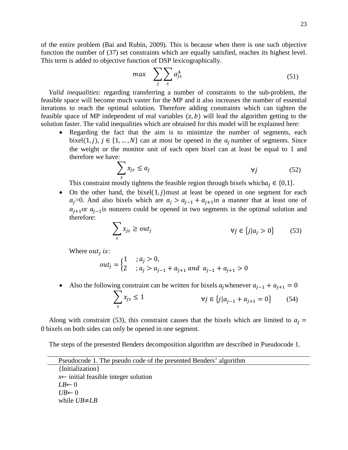23

of the entire problem [\(Bai and Rubin, 2009\)](#page-16-8). This is because when there is one such objective function the number of (37) set constraints which are equally satisfied, reaches its highest level. This term is added to objective function of DSP lexicographically.

$$
max \quad \sum_{j} \sum_{s} \alpha_{js}^{4} \tag{51}
$$

*Valid inequalities*: regarding transferring a number of constraints to the sub-problem, the feasible space will become much vaster for the MP and it also increases the number of essential iterations to reach the optimal solution. Therefore adding constraints which can tighten the feasible space of MP independent of real variables  $(z, b)$  will lead the algorithm getting to the solution faster. The valid inequalities which are obtained for this model will be explained here:

• Regarding the fact that the aim is to minimize the number of segments, each bixel(1, j),  $j \in \{1, ..., N\}$  can at most be opened in the  $a_i$  number of segments. Since the weight or the monitor unit of each open bixel can at least be equal to 1 and therefore we have:

$$
\sum_{s} x_{js} \le a_j \qquad \qquad \forall j \qquad \qquad (52)
$$

This constraint mostly tightens the feasible region through bixels which  $a_i \in \{0,1\}$ .

• On the other hand, the bixel $(1, j)$  must at least be opened in one segment for each  $a_j$ >0. And also bixels which are  $a_j > a_{j-1} + a_{j+1}$ in a manner that at least one of  $a_{i+1}$ or  $a_{i-1}$ is nonzero could be opened in two segments in the optimal solution and therefore:

$$
\sum_{s} x_{js} \ge out_j \qquad \qquad \forall j \in \{j | a_j > 0\} \qquad (53)
$$

Where *out<sub>i</sub>* is:

$$
out_j = \begin{cases} 1 & ; a_j > 0, \\ 2 & ; a_j > a_{j-1} + a_{j+1} \text{ and } a_{j-1} + a_{j+1} > 0 \end{cases}
$$

Also the following constraint can be written for bixels  $a_j$  whenever  $a_{j-1} + a_{j+1} = 0$ 

$$
\sum_{s} x_{js} \le 1 \qquad \qquad \forall j \in \{j | a_{j-1} + a_{j+1} = 0\} \qquad (54)
$$

Along with constraint (53), this constraint causes that the bixels which are limited to  $a_i =$ 0 bixels on both sides can only be opened in one segment.

The steps of the presented Benders decomposition algorithm are described in Pseudocode 1.

| Pseudocode 1. The pseudo code of the presented Benders' algorithm |
|-------------------------------------------------------------------|
| {Initialization}                                                  |
| $x \leftarrow$ initial feasible integer solution                  |
| $LB \leftarrow 0$                                                 |
| $U B \leftarrow 0$                                                |
| while $UB \neq LB$                                                |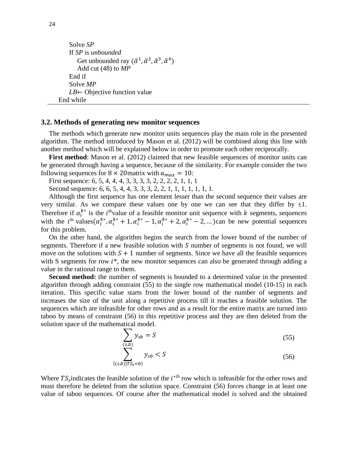```
Solve SP
     If SP is unbounded
         Get unbounded ray (\tilde{\alpha}^1, \tilde{\alpha}^2, \tilde{\alpha}^3, \tilde{\alpha}^4)Add cut (48) to MP
    End if
     Solve MP
     LB← Objective function value
End while
```
#### **3.2. Methods of generating new monitor sequences**

The methods which generate new monitor units sequences play the main role in the presented algorithm. The method introduced by Mason et al. [\(2012\)](#page-17-10) will be combined along this line with another method which will be explained below in order to promote each other reciprocally.

**First method**: Mason et al. [\(2012\)](#page-17-10) claimed that new feasible sequences of monitor units can be generated through having a sequence, because of the similarity. For example consider the two following sequences for  $8 \times 20$  matrix with  $a_{max} = 10$ :

First sequence: 6, 5, 4, 4, 4, 3, 3, 3, 3, 2, 2, 2, 2, 1, 1, 1

Second sequence: 6, 6, 5, 4, 4, 3, 3, 3, 2, 2, 1, 1, 1, 1, 1, 1, 1.

Although the first sequence has one element lesser than the second sequence their values are very similar. As we compare these values one by one we can see that they differ by  $\pm 1$ . Therefore if  $\alpha_i^{k*}$  is the *i*<sup>th</sup>value of a feasible monitor unit sequence with *k* segments, sequences with the  $i^{\text{th}}$  values  $(\alpha_i^{k*}, \alpha_i^{k*} + 1, \alpha_i^{k*} - 1, \alpha_i^{k*} + 2, \alpha_i^{k*} - 2, ...)$ can be new potential sequences for this problem.

On the other hand, the algorithm begins the search from the lower bound of the number of segments. Therefore if a new feasible solution with  $S$  number of segments is not found, we will move on the solutions with  $S + 1$  number of segments. Since we have all the feasible sequences with S segments for row  $i^*$ , the new monitor sequences can also be generated through adding a value in the rational range to them.

**Second method:** the number of segments is bounded to a determined value in the presented algorithm through adding constraint (55) to the single row mathematical model (10-15) in each iteration. This specific value starts from the lower bound of the number of segments and increases the size of the unit along a repetitive process till it reaches a feasible solution. The sequences which are infeasible for other rows and as a result for the entire matrix are turned into taboo by means of constraint (56) in this repetitive process and they are then deleted from the solution space of the mathematical model.

$$
\sum_{(s,b)} y_{sb} = S \tag{55}
$$

$$
\sum_{\{(s,b)|TS_s=b\}} y_{sb} < S \tag{56}
$$

Where  $TS_s$  indicates the feasible solution of the  $i^{*th}$  row which is infeasible for the other rows and must therefore be deleted from the solution space. Constraint (56) forces change in at least one value of taboo sequences. Of course after the mathematical model is solved and the obtained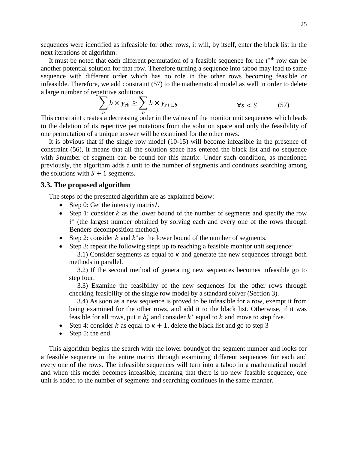sequences were identified as infeasible for other rows, it will, by itself, enter the black list in the next iterations of algorithm.

It must be noted that each different permutation of a feasible sequence for the  $i^*$ <sup>th</sup> row can be another potential solution for that row. Therefore turning a sequence into taboo may lead to same sequence with different order which has no role in the other rows becoming feasible or infeasible. Therefore, we add constraint (57) to the mathematical model as well in order to delete a large number of repetitive solutions.

$$
\sum_{b} b \times y_{sb} \ge \sum_{b} b \times y_{s+1,b} \qquad \forall s < S \tag{57}
$$

This constraint creates a decreasing order in the values of the monitor unit sequences which leads to the deletion of its repetitive permutations from the solution space and only the feasibility of one permutation of a unique answer will be examined for the other rows.

It is obvious that if the single row model (10-15) will become infeasible in the presence of constraint (56), it means that all the solution space has entered the black list and no sequence with Snumber of segment can be found for this matrix. Under such condition, as mentioned previously, the algorithm adds a unit to the number of segments and continues searching among the solutions with  $S + 1$  segments.

## **3.3. The proposed algorithm**

The steps of the presented algorithm are as explained below:

- Step 0: Get the intensity matrix*:*
- Step 1: consider  $k$  as the lower bound of the number of segments and specify the row  $i^*$  (the largest number obtained by solving each and every one of the rows through Benders decomposition method).
- Step 2: consider  $k$  and  $k^*$  as the lower bound of the number of segments.
- Step 3: repeat the following steps up to reaching a feasible monitor unit sequence:

3.1) Consider segments as equal to  $k$  and generate the new sequences through both methods in parallel.

3.2) If the second method of generating new sequences becomes infeasible go to step four.

3.3) Examine the feasibility of the new sequences for the other rows through checking feasibility of the single row model by a standard solver (Section 3).

3.4) As soon as a new sequence is proved to be infeasible for a row, exempt it from being examined for the other rows, and add it to the black list. Otherwise, if it was feasible for all rows, put it  $b^*$  and consider  $k^*$  equal to  $k$  and move to step five.

- Step 4: consider k as equal to  $k + 1$ , delete the black list and go to step 3
- Step 5: the end.

This algorithm begins the search with the lower bound k of the segment number and looks for a feasible sequence in the entire matrix through examining different sequences for each and every one of the rows. The infeasible sequences will turn into a taboo in a mathematical model and when this model becomes infeasible, meaning that there is no new feasible sequence, one unit is added to the number of segments and searching continues in the same manner.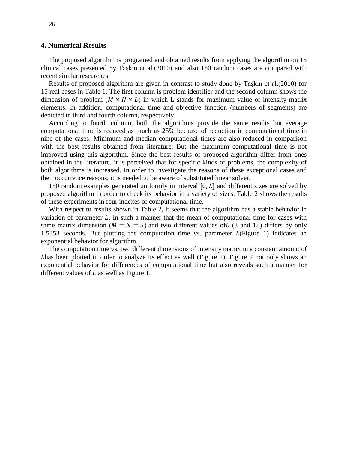## **4. Numerical Results**

The proposed algorithm is programed and obtained results from applying the algorithm on 15 clinical cases presented by Taşkın et al.[\(2010\)](#page-17-8) and also 150 random cases are compared with recent similar researches.

Results of proposed algorithm are given in contrast to study done by Taşkın et al.[\(2010\)](#page-17-8) for 15 real cases in Table 1. The first column is problem identifier and the second column shows the dimension of problem ( $M \times N \times L$ ) in which L stands for maximum value of intensity matrix elements. In addition, computational time and objective function (numbers of segments) are depicted in third and fourth column, respectively.

According to fourth column, both the algorithms provide the same results but average computational time is reduced as much as 25% because of reduction in computational time in nine of the cases. Minimum and median computational times are also reduced in comparison with the best results obtained from literature. But the maximum computational time is not improved using this algorithm. Since the best results of proposed algorithm differ from ones obtained in the literature, it is perceived that for specific kinds of problems, the complexity of both algorithms is increased. In order to investigate the reasons of these exceptional cases and their occurrence reasons, it is needed to be aware of substituted linear solver.

150 random examples generated uniformly in interval  $[0, L]$  and different sizes are solved by proposed algorithm in order to check its behavior in a variety of sizes. Table 2 shows the results of these experiments in four indexes of computational time.

With respect to results shown in Table 2, it seems that the algorithm has a stable behavior in variation of parameter  $L$ . In such a manner that the mean of computational time for cases with same matrix dimension ( $M = N = 5$ ) and two different values of L (3 and 18) differs by only 1.5353 seconds. But plotting the computation time vs. parameter  $L$ (Figure 1) indicates an exponential behavior for algorithm.

The computation time vs. two different dimensions of intensity matrix in a constant amount of has been plotted in order to analyze its effect as well (Figure 2). Figure 2 not only shows an exponential behavior for differences of computational time but also reveals such a manner for different values of  $L$  as well as Figure 1.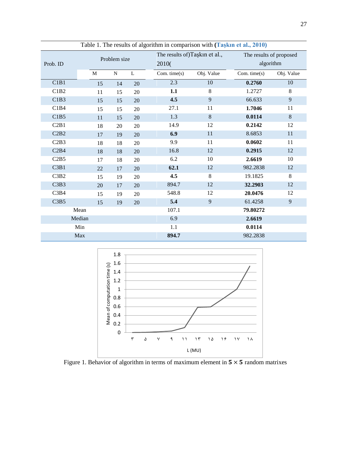| Table 1. The results of algorithm in comparison with (Taskin et al., 2010) |              |           |    |                               |            |                         |            |  |  |  |
|----------------------------------------------------------------------------|--------------|-----------|----|-------------------------------|------------|-------------------------|------------|--|--|--|
|                                                                            | Problem size |           |    | The results of)Taşkin et al., |            | The results of proposed |            |  |  |  |
| Prob. ID                                                                   |              |           |    | 2010(                         |            | algorithm               |            |  |  |  |
|                                                                            | M            | ${\bf N}$ | L  | Com. $time(s)$                | Obj. Value | Com. time $(s)$         | Obj. Value |  |  |  |
| C1B1                                                                       | 15           | 14        | 20 | 2.3                           | 10         | 0.2760                  | 10         |  |  |  |
| C1B2                                                                       | 11           | 15        | 20 | 1.1                           | 8          |                         | 8          |  |  |  |
| C1B3                                                                       | 15           | 15        | 20 | 4.5                           | 9          | 66.633                  | 9          |  |  |  |
| C1B4                                                                       | 15           | 15        | 20 | 27.1                          | 11         | 1.7046                  | 11         |  |  |  |
| C1B5                                                                       | 11           | 15        | 20 | 1.3                           | 8          | 0.0114                  | $8\,$      |  |  |  |
| C2B1                                                                       | 18           | 20        | 20 | 14.9                          | 12         | 0.2142                  | 12         |  |  |  |
| C2B2                                                                       | 17           | 19        | 20 | 6.9                           | $11\,$     | 8.6853                  | $11\,$     |  |  |  |
| C2B3                                                                       | 18           | 18        | 20 | 9.9                           | 11         | 0.0602                  | 11         |  |  |  |
| C2B4                                                                       | 18           | 18        | 20 | 16.8                          | 12         | 0.2915                  | 12         |  |  |  |
| C2B5                                                                       | 17           | 18        | 20 | 6.2                           | 10         | 2.6619                  | 10         |  |  |  |
| C3B1                                                                       | $22\,$       | 17        | 20 | 62.1                          | 12         | 982.2838                | 12         |  |  |  |
| C3B2                                                                       | 15           | 19        | 20 | 4.5                           | 8          | 19.1825                 | $8\,$      |  |  |  |
| C3B3                                                                       | 20           | 17        | 20 | 894.7                         | 12         | 32.2903                 | 12         |  |  |  |
| C3B4                                                                       | 15           | 19        | 20 | 548.8                         | 12         | 20.0476                 | 12         |  |  |  |
| C3B5                                                                       | 15           | 19        | 20 | 5.4                           | 9          | 61.4258                 | 9          |  |  |  |
|                                                                            | Mean         |           |    | 107.1                         |            | 79.80272                |            |  |  |  |
|                                                                            | Median       |           |    | 6.9                           |            | 2.6619                  |            |  |  |  |
|                                                                            | Min          |           |    | 1.1                           |            | 0.0114                  |            |  |  |  |
|                                                                            | Max          |           |    | 894.7                         |            | 982.2838                |            |  |  |  |

Table 1. The results of algorithm in comparison with **([Taşkın et al., 2010](#page-17-8))**



Figure 1. Behavior of algorithm in terms of maximum element in  $5 \times 5$  random matrixes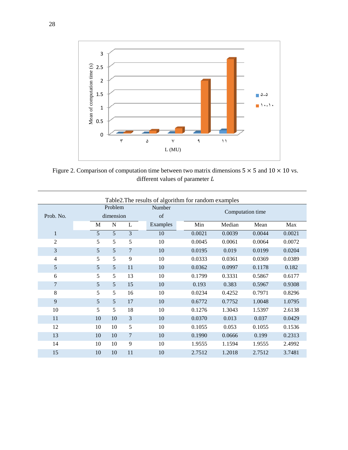

Figure 2. Comparison of computation time between two matrix dimensions  $5 \times 5$  and  $10 \times 10$  vs. different values of parameter  ${\cal L}$ 

| Table2. The results of algorithm for random examples |                |         |    |                  |        |        |        |        |  |
|------------------------------------------------------|----------------|---------|----|------------------|--------|--------|--------|--------|--|
|                                                      |                | Problem |    | Number           |        |        |        |        |  |
| Prob. No.                                            | dimension      |         | of | Computation time |        |        |        |        |  |
|                                                      | $\mathbf M$    | N       | L  | Examples         | Min    | Median | Mean   | Max    |  |
| 1                                                    | 5              | 5       | 3  | 10               | 0.0021 | 0.0039 | 0.0044 | 0.0021 |  |
| $\overline{c}$                                       | 5              | 5       | 5  | 10               | 0.0045 | 0.0061 | 0.0064 | 0.0072 |  |
| 3                                                    | $\overline{5}$ | 5       | 7  | 10               | 0.0195 | 0.019  | 0.0199 | 0.0204 |  |
| 4                                                    | 5              | 5       | 9  | 10               | 0.0333 | 0.0361 | 0.0369 | 0.0389 |  |
| 5                                                    | 5              | 5       | 11 | 10               | 0.0362 | 0.0997 | 0.1178 | 0.182  |  |
| 6                                                    | 5              | 5       | 13 | 10               | 0.1799 | 0.3331 | 0.5867 | 0.6177 |  |
| 7                                                    | 5              | 5       | 15 | 10               | 0.193  | 0.383  | 0.5967 | 0.9308 |  |
| 8                                                    | 5              | 5       | 16 | 10               | 0.0234 | 0.4252 | 0.7971 | 0.8296 |  |
| 9                                                    | $\overline{5}$ | 5       | 17 | 10               | 0.6772 | 0.7752 | 1.0048 | 1.0795 |  |
| 10                                                   | 5              | 5       | 18 | 10               | 0.1276 | 1.3043 | 1.5397 | 2.6138 |  |
| 11                                                   | 10             | 10      | 3  | 10               | 0.0370 | 0.013  | 0.037  | 0.0429 |  |
| 12                                                   | 10             | 10      | 5  | 10               | 0.1055 | 0.053  | 0.1055 | 0.1536 |  |
| 13                                                   | 10             | 10      | 7  | 10               | 0.1990 | 0.0666 | 0.199  | 0.2313 |  |
| 14                                                   | 10             | 10      | 9  | 10               | 1.9555 | 1.1594 | 1.9555 | 2.4992 |  |
| 15                                                   | 10             | 10      | 11 | 10               | 2.7512 | 1.2018 | 2.7512 | 3.7481 |  |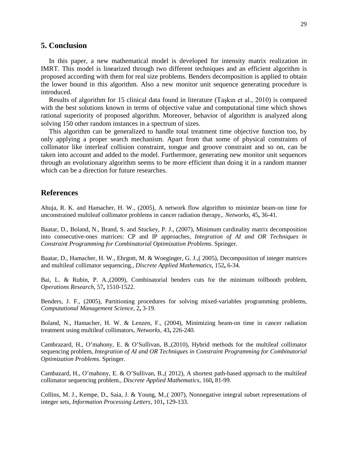# **5. Conclusion**

In this paper, a new mathematical model is developed for intensity matrix realization in IMRT. This model is linearized through two different techniques and an efficient algorithm is proposed according with them for real size problems. Benders decomposition is applied to obtain the lower bound in this algorithm. Also a new monitor unit sequence generating procedure is introduced.

Results of algorithm for 15 clinical data found in literature ([Taşkın et al., 2010](#page-17-8)) is compared with the best solutions known in terms of objective value and computational time which shows rational superiority of proposed algorithm. Moreover, behavior of algorithm is analyzed along solving 150 other random instances in a spectrum of sizes.

This algorithm can be generalized to handle total treatment time objective function too, by only applying a proper search mechanism. Apart from that some of physical constraints of collimator like interleaf collision constraint, tongue and groove constraint and so on, can be taken into account and added to the model. Furthermore, generating new monitor unit sequences through an evolutionary algorithm seems to be more efficient than doing it in a random manner which can be a direction for future researches.

## **References**

<span id="page-16-0"></span>Ahuja, R. K. and Hamacher, H. W., (2005), A network flow algorithm to minimize beam‐on time for unconstrained multileaf collimator problems in cancer radiation therapy,. *Networks,* 45**,** 36-41.

<span id="page-16-4"></span>Baatar, D., Boland, N., Brand, S. and Stuckey, P. J., (2007), Minimum cardinality matrix decomposition into consecutive-ones matrices: CP and IP approaches, *Integration of AI and OR Techniques in Constraint Programming for Combinatorial Optimization Problems.* Springer.

<span id="page-16-2"></span>Baatar, D., Hamacher, H. W., Ehrgott, M. & Woeginger, G. J.,( 2005), Decomposition of integer matrices and multileaf collimator sequencing., *Discrete Applied Mathematics,* 152**,** 6-34.

<span id="page-16-8"></span>Bai, L. & Rubin, P. A.,(2009), Combinatorial benders cuts for the minimum tollbooth problem, *Operations Research,* 57**,** 1510-1522.

<span id="page-16-7"></span>Benders, J. F., (2005), Partitioning procedures for solving mixed-variables programming problems, *Computational Management Science,* 2**,** 3-19.

<span id="page-16-1"></span>Boland, N., Hamacher, H. W. & Lenzen, F., (2004), Minimizing beam‐on time in cancer radiation treatment using multileaf collimators, *Networks,* 43**,** 226-240.

<span id="page-16-5"></span>Cambrazard, H., O'mahony, E. & O'Sullivan, B.,(2010), Hybrid methods for the multileaf collimator sequencing problem, *Integration of AI and OR Techniques in Constraint Programming for Combinatorial Optimization Problems.* Springer.

<span id="page-16-6"></span>Cambazard, H., O'mahony, E. & O'Sullivan, B.,( 2012), A shortest path-based approach to the multileaf collimator sequencing problem., *Discrete Applied Mathematics,* 160**,** 81-99.

<span id="page-16-3"></span>Collins, M. J., Kempe, D., Saia, J. & Young, M.,( 2007), Nonnegative integral subset representations of integer sets, *Information Processing Letters,* 101**,** 129-133.